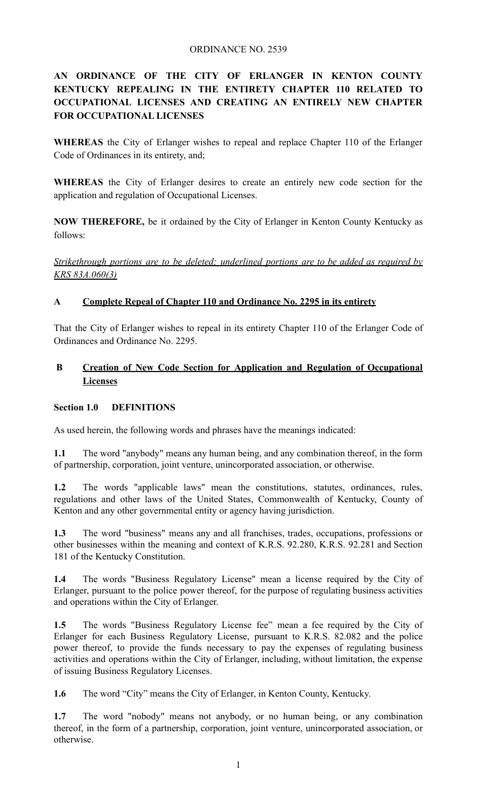### ORDINANCE NO. 2539

# **AN ORDINANCE OF THE CITY OF ERLANGER IN KENTON COUNTY KENTUCKY REPEALING IN THE ENTIRETY CHAPTER 110 RELATED TO OCCUPATIONAL LICENSES AND CREATING AN ENTIRELY NEW CHAPTER FOR OCCUPATIONAL LICENSES**

**WHEREAS** the City of Erlanger wishes to repeal and replace Chapter 110 of the Erlanger Code of Ordinances in its entirety, and;

**WHEREAS** the City of Erlanger desires to create an entirely new code section for the application and regulation of Occupational Licenses.

**NOW THEREFORE,** be it ordained by the City of Erlanger in Kenton County Kentucky as follows:

*Strikethrough portions are to be deleted; underlined portions are to be added as required by KRS 83A.060(3)*

## **A Complete Repeal of Chapter 110 and Ordinance No. 2295 in its entirety**

That the City of Erlanger wishes to repeal in its entirety Chapter 110 of the Erlanger Code of Ordinances and Ordinance No. 2295.

# **B Creation of New Code Section for Application and Regulation of Occupational Licenses**

#### **Section 1.0 DEFINITIONS**

As used herein, the following words and phrases have the meanings indicated:

**1.1** The word "anybody" means any human being, and any combination thereof, in the form of partnership, corporation, joint venture, unincorporated association, or otherwise.

**1.2** The words "applicable laws" mean the constitutions, statutes, ordinances, rules, regulations and other laws of the United States, Commonwealth of Kentucky, County of Kenton and any other governmental entity or agency having jurisdiction.

**1.3** The word "business" means any and all franchises, trades, occupations, professions or other businesses within the meaning and context of K.R.S. 92.280, K.R.S. 92.281 and Section 181 of the Kentucky Constitution.

**1.4** The words "Business Regulatory License" mean a license required by the City of Erlanger, pursuant to the police power thereof, for the purpose of regulating business activities and operations within the City of Erlanger.

**1.5** The words "Business Regulatory License fee" mean a fee required by the City of Erlanger for each Business Regulatory License, pursuant to K.R.S. 82.082 and the police power thereof, to provide the funds necessary to pay the expenses of regulating business activities and operations within the City of Erlanger, including, without limitation, the expense of issuing Business Regulatory Licenses.

**1.6** The word "City" means the City of Erlanger, in Kenton County, Kentucky.

**1.7** The word "nobody" means not anybody, or no human being, or any combination thereof, in the form of a partnership, corporation, joint venture, unincorporated association, or otherwise.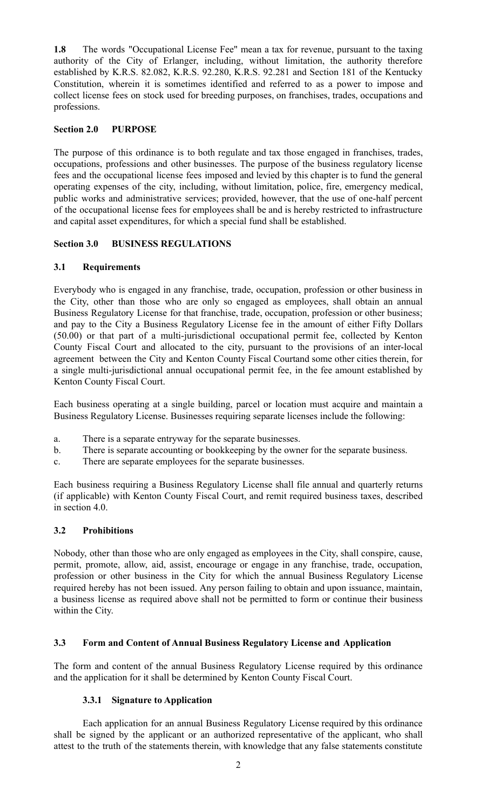**1.8** The words "Occupational License Fee" mean a tax for revenue, pursuant to the taxing authority of the City of Erlanger, including, without limitation, the authority therefore established by K.R.S. 82.082, K.R.S. 92.280, K.R.S. 92.281 and Section 181 of the Kentucky Constitution, wherein it is sometimes identified and referred to as a power to impose and collect license fees on stock used for breeding purposes, on franchises, trades, occupations and professions.

### **Section 2.0 PURPOSE**

The purpose of this ordinance is to both regulate and tax those engaged in franchises, trades, occupations, professions and other businesses. The purpose of the business regulatory license fees and the occupational license fees imposed and levied by this chapter is to fund the general operating expenses of the city, including, without limitation, police, fire, emergency medical, public works and administrative services; provided, however, that the use of one-half percent of the occupational license fees for employees shall be and is hereby restricted to infrastructure and capital asset expenditures, for which a special fund shall be established.

### **Section 3.0 BUSINESS REGULATIONS**

### **3.1 Requirements**

Everybody who is engaged in any franchise, trade, occupation, profession or other business in the City, other than those who are only so engaged as employees, shall obtain an annual Business Regulatory License for that franchise, trade, occupation, profession or other business; and pay to the City a Business Regulatory License fee in the amount of either Fifty Dollars (50.00) or that part of a multi-jurisdictional occupational permit fee, collected by Kenton County Fiscal Court and allocated to the city, pursuant to the provisions of an inter-local agreement between the City and Kenton County Fiscal Courtand some other cities therein, for a single multi-jurisdictional annual occupational permit fee, in the fee amount established by Kenton County Fiscal Court.

Each business operating at a single building, parcel or location must acquire and maintain a Business Regulatory License. Businesses requiring separate licenses include the following:

- a. There is a separate entryway for the separate businesses.
- b. There is separate accounting or bookkeeping by the owner for the separate business.
- c. There are separate employees for the separate businesses.

Each business requiring a Business Regulatory License shall file annual and quarterly returns (if applicable) with Kenton County Fiscal Court, and remit required business taxes, described in section 4.0.

## **3.2 Prohibitions**

Nobody, other than those who are only engaged as employees in the City, shall conspire, cause, permit, promote, allow, aid, assist, encourage or engage in any franchise, trade, occupation, profession or other business in the City for which the annual Business Regulatory License required hereby has not been issued. Any person failing to obtain and upon issuance, maintain, a business license as required above shall not be permitted to form or continue their business within the City.

## **3.3 Form and Content of Annual Business Regulatory License and Application**

The form and content of the annual Business Regulatory License required by this ordinance and the application for it shall be determined by Kenton County Fiscal Court.

## **3.3.1 Signature to Application**

Each application for an annual Business Regulatory License required by this ordinance shall be signed by the applicant or an authorized representative of the applicant, who shall attest to the truth of the statements therein, with knowledge that any false statements constitute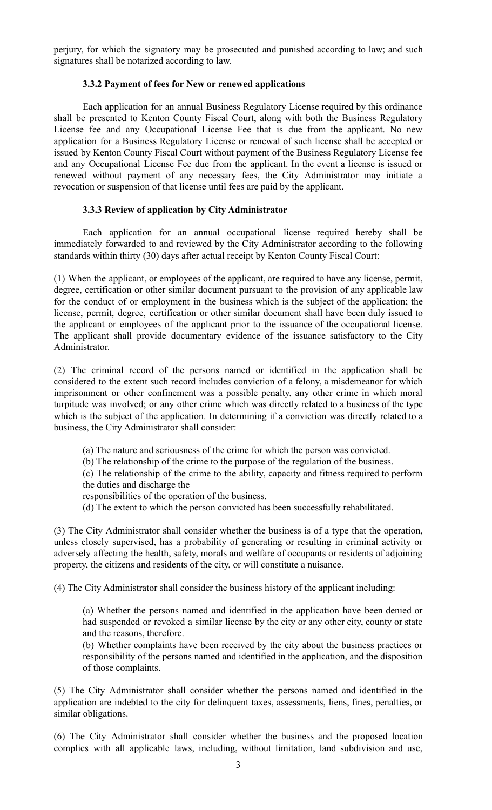perjury, for which the signatory may be prosecuted and punished according to law; and such signatures shall be notarized according to law.

#### **3.3.2 Payment of fees for New or renewed applications**

Each application for an annual Business Regulatory License required by this ordinance shall be presented to Kenton County Fiscal Court, along with both the Business Regulatory License fee and any Occupational License Fee that is due from the applicant. No new application for a Business Regulatory License or renewal of such license shall be accepted or issued by Kenton County Fiscal Court without payment of the Business Regulatory License fee and any Occupational License Fee due from the applicant. In the event a license is issued or renewed without payment of any necessary fees, the City Administrator may initiate a revocation or suspension of that license until fees are paid by the applicant.

### **3.3.3 Review of application by City Administrator**

Each application for an annual occupational license required hereby shall be immediately forwarded to and reviewed by the City Administrator according to the following standards within thirty (30) days after actual receipt by Kenton County Fiscal Court:

(1) When the applicant, or employees of the applicant, are required to have any license, permit, degree, certification or other similar document pursuant to the provision of any applicable law for the conduct of or employment in the business which is the subject of the application; the license, permit, degree, certification or other similar document shall have been duly issued to the applicant or employees of the applicant prior to the issuance of the occupational license. The applicant shall provide documentary evidence of the issuance satisfactory to the City Administrator.

(2) The criminal record of the persons named or identified in the application shall be considered to the extent such record includes conviction of a felony, a misdemeanor for which imprisonment or other confinement was a possible penalty, any other crime in which moral turpitude was involved; or any other crime which was directly related to a business of the type which is the subject of the application. In determining if a conviction was directly related to a business, the City Administrator shall consider:

(a) The nature and seriousness of the crime for which the person was convicted.

(b) The relationship of the crime to the purpose of the regulation of the business.

(c) The relationship of the crime to the ability, capacity and fitness required to perform the duties and discharge the

responsibilities of the operation of the business.

(d) The extent to which the person convicted has been successfully rehabilitated.

(3) The City Administrator shall consider whether the business is of a type that the operation, unless closely supervised, has a probability of generating or resulting in criminal activity or adversely affecting the health, safety, morals and welfare of occupants or residents of adjoining property, the citizens and residents of the city, or will constitute a nuisance.

(4) The City Administrator shall consider the business history of the applicant including:

(a) Whether the persons named and identified in the application have been denied or had suspended or revoked a similar license by the city or any other city, county or state and the reasons, therefore.

(b) Whether complaints have been received by the city about the business practices or responsibility of the persons named and identified in the application, and the disposition of those complaints.

(5) The City Administrator shall consider whether the persons named and identified in the application are indebted to the city for delinquent taxes, assessments, liens, fines, penalties, or similar obligations.

(6) The City Administrator shall consider whether the business and the proposed location complies with all applicable laws, including, without limitation, land subdivision and use,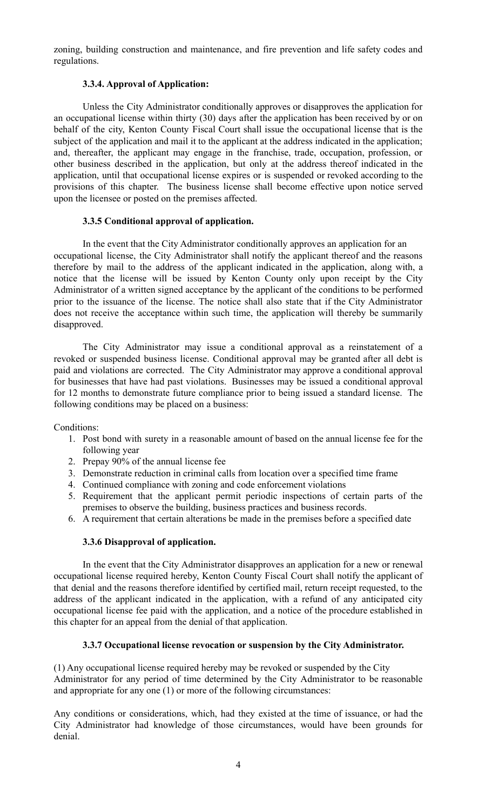zoning, building construction and maintenance, and fire prevention and life safety codes and regulations.

### **3.3.4. Approval of Application:**

Unless the City Administrator conditionally approves or disapproves the application for an occupational license within thirty (30) days after the application has been received by or on behalf of the city, Kenton County Fiscal Court shall issue the occupational license that is the subject of the application and mail it to the applicant at the address indicated in the application; and, thereafter, the applicant may engage in the franchise, trade, occupation, profession, or other business described in the application, but only at the address thereof indicated in the application, until that occupational license expires or is suspended or revoked according to the provisions of this chapter. The business license shall become effective upon notice served upon the licensee or posted on the premises affected.

### **3.3.5 Conditional approval of application.**

In the event that the City Administrator conditionally approves an application for an occupational license, the City Administrator shall notify the applicant thereof and the reasons therefore by mail to the address of the applicant indicated in the application, along with, a notice that the license will be issued by Kenton County only upon receipt by the City Administrator of a written signed acceptance by the applicant of the conditions to be performed prior to the issuance of the license. The notice shall also state that if the City Administrator does not receive the acceptance within such time, the application will thereby be summarily disapproved.

The City Administrator may issue a conditional approval as a reinstatement of a revoked or suspended business license. Conditional approval may be granted after all debt is paid and violations are corrected. The City Administrator may approve a conditional approval for businesses that have had past violations. Businesses may be issued a conditional approval for 12 months to demonstrate future compliance prior to being issued a standard license. The following conditions may be placed on a business:

Conditions:

- 1. Post bond with surety in a reasonable amount of based on the annual license fee for the following year
- 2. Prepay 90% of the annual license fee
- 3. Demonstrate reduction in criminal calls from location over a specified time frame
- 4. Continued compliance with zoning and code enforcement violations
- 5. Requirement that the applicant permit periodic inspections of certain parts of the premises to observe the building, business practices and business records.
- 6. A requirement that certain alterations be made in the premises before a specified date

#### **3.3.6 Disapproval of application.**

In the event that the City Administrator disapproves an application for a new or renewal occupational license required hereby, Kenton County Fiscal Court shall notify the applicant of that denial and the reasons therefore identified by certified mail, return receipt requested, to the address of the applicant indicated in the application, with a refund of any anticipated city occupational license fee paid with the application, and a notice of the procedure established in this chapter for an appeal from the denial of that application.

#### **3.3.7 Occupational license revocation or suspension by the City Administrator.**

(1) Any occupational license required hereby may be revoked or suspended by the City Administrator for any period of time determined by the City Administrator to be reasonable and appropriate for any one (1) or more of the following circumstances:

Any conditions or considerations, which, had they existed at the time of issuance, or had the City Administrator had knowledge of those circumstances, would have been grounds for denial.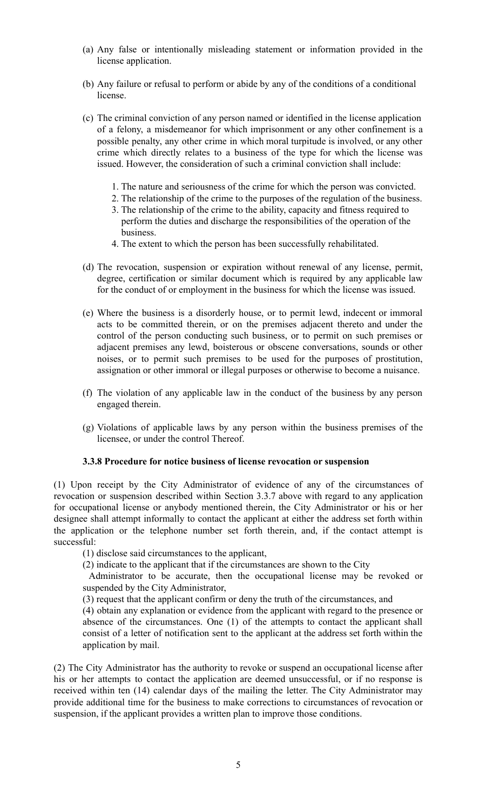- (a) Any false or intentionally misleading statement or information provided in the license application.
- (b) Any failure or refusal to perform or abide by any of the conditions of a conditional license.
- (c) The criminal conviction of any person named or identified in the license application of a felony, a misdemeanor for which imprisonment or any other confinement is a possible penalty, any other crime in which moral turpitude is involved, or any other crime which directly relates to a business of the type for which the license was issued. However, the consideration of such a criminal conviction shall include:
	- 1. The nature and seriousness of the crime for which the person was convicted.
	- 2. The relationship of the crime to the purposes of the regulation of the business.
	- 3. The relationship of the crime to the ability, capacity and fitness required to perform the duties and discharge the responsibilities of the operation of the business.
	- 4. The extent to which the person has been successfully rehabilitated.
- (d) The revocation, suspension or expiration without renewal of any license, permit, degree, certification or similar document which is required by any applicable law for the conduct of or employment in the business for which the license was issued.
- (e) Where the business is a disorderly house, or to permit lewd, indecent or immoral acts to be committed therein, or on the premises adjacent thereto and under the control of the person conducting such business, or to permit on such premises or adjacent premises any lewd, boisterous or obscene conversations, sounds or other noises, or to permit such premises to be used for the purposes of prostitution, assignation or other immoral or illegal purposes or otherwise to become a nuisance.
- (f) The violation of any applicable law in the conduct of the business by any person engaged therein.
- (g) Violations of applicable laws by any person within the business premises of the licensee, or under the control Thereof.

#### **3.3.8 Procedure for notice business of license revocation or suspension**

(1) Upon receipt by the City Administrator of evidence of any of the circumstances of revocation or suspension described within Section 3.3.7 above with regard to any application for occupational license or anybody mentioned therein, the City Administrator or his or her designee shall attempt informally to contact the applicant at either the address set forth within the application or the telephone number set forth therein, and, if the contact attempt is successful:

(1) disclose said circumstances to the applicant,

(2) indicate to the applicant that if the circumstances are shown to the City

Administrator to be accurate, then the occupational license may be revoked or suspended by the City Administrator,

(3) request that the applicant confirm or deny the truth of the circumstances, and

(4) obtain any explanation or evidence from the applicant with regard to the presence or absence of the circumstances. One (1) of the attempts to contact the applicant shall consist of a letter of notification sent to the applicant at the address set forth within the application by mail.

(2) The City Administrator has the authority to revoke or suspend an occupational license after his or her attempts to contact the application are deemed unsuccessful, or if no response is received within ten (14) calendar days of the mailing the letter. The City Administrator may provide additional time for the business to make corrections to circumstances of revocation or suspension, if the applicant provides a written plan to improve those conditions.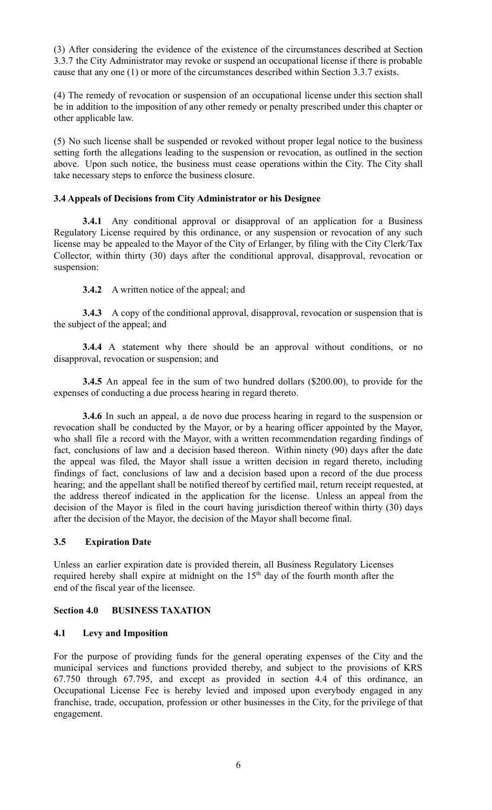(3) After considering the evidence of the existence of the circumstances described at Section 3.3.7 the City Administrator may revoke or suspend an occupational license if there is probable cause that any one (1) or more of the circumstances described within Section 3.3.7 exists.

(4) The remedy of revocation or suspension of an occupational license under this section shall be in addition to the imposition of any other remedy or penalty prescribed under this chapter or other applicable law.

(5) No such license shall be suspended or revoked without proper legal notice to the business setting forth the allegations leading to the suspension or revocation, as outlined in the section above. Upon such notice, the business must cease operations within the City. The City shall take necessary steps to enforce the business closure.

#### **3.4 Appeals of Decisions from City Administrator or his Designee**

**3.4.1** Any conditional approval or disapproval of an application for a Business Regulatory License required by this ordinance, or any suspension or revocation of any such license may be appealed to the Mayor of the City of Erlanger, by filing with the City Clerk/Tax Collector, within thirty (30) days after the conditional approval, disapproval, revocation or suspension:

### **3.4.2** A written notice of the appeal; and

**3.4.3** A copy of the conditional approval, disapproval, revocation or suspension that is the subject of the appeal; and

**3.4.4** A statement why there should be an approval without conditions, or no disapproval, revocation or suspension; and

**3.4.5** An appeal fee in the sum of two hundred dollars (\$200.00), to provide for the expenses of conducting a due process hearing in regard thereto.

**3.4.6** In such an appeal, a de novo due process hearing in regard to the suspension or revocation shall be conducted by the Mayor, or by a hearing officer appointed by the Mayor, who shall file a record with the Mayor, with a written recommendation regarding findings of fact, conclusions of law and a decision based thereon. Within ninety (90) days after the date the appeal was filed, the Mayor shall issue a written decision in regard thereto, including findings of fact, conclusions of law and a decision based upon a record of the due process hearing; and the appellant shall be notified thereof by certified mail, return receipt requested, at the address thereof indicated in the application for the license. Unless an appeal from the decision of the Mayor is filed in the court having jurisdiction thereof within thirty (30) days after the decision of the Mayor, the decision of the Mayor shall become final.

#### **3.5 Expiration Date**

Unless an earlier expiration date is provided therein, all Business Regulatory Licenses required hereby shall expire at midnight on the 15<sup>th</sup> day of the fourth month after the end of the fiscal year of the licensee.

#### **Section 4.0 BUSINESS TAXATION**

## **4.1 Levy and Imposition**

For the purpose of providing funds for the general operating expenses of the City and the municipal services and functions provided thereby, and subject to the provisions of KRS 67.750 through 67.795, and except as provided in section 4.4 of this ordinance, an Occupational License Fee is hereby levied and imposed upon everybody engaged in any franchise, trade, occupation, profession or other businesses in the City, for the privilege of that engagement.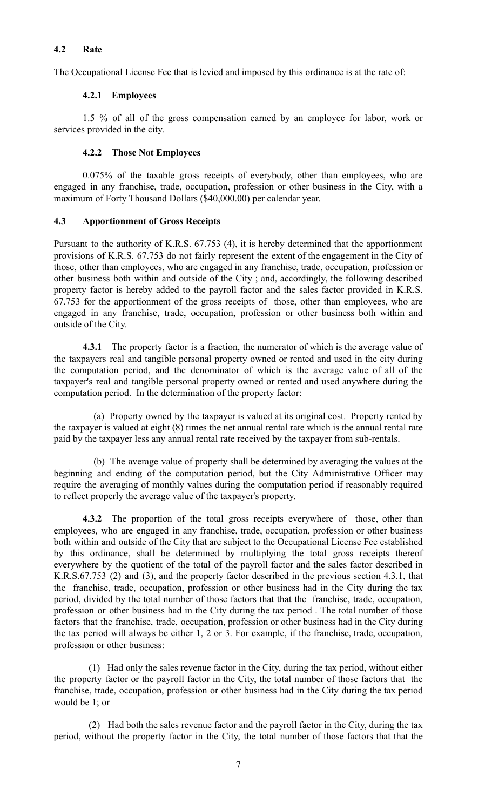## **4.2 Rate**

The Occupational License Fee that is levied and imposed by this ordinance is at the rate of:

## **4.2.1 Employees**

1.5 % of all of the gross compensation earned by an employee for labor, work or services provided in the city.

# **4.2.2 Those Not Employees**

0.075% of the taxable gross receipts of everybody, other than employees, who are engaged in any franchise, trade, occupation, profession or other business in the City, with a maximum of Forty Thousand Dollars (\$40,000.00) per calendar year.

# **4.3 Apportionment of Gross Receipts**

Pursuant to the authority of K.R.S. 67.753 (4), it is hereby determined that the apportionment provisions of K.R.S. 67.753 do not fairly represent the extent of the engagement in the City of those, other than employees, who are engaged in any franchise, trade, occupation, profession or other business both within and outside of the City ; and, accordingly, the following described property factor is hereby added to the payroll factor and the sales factor provided in K.R.S. 67.753 for the apportionment of the gross receipts of those, other than employees, who are engaged in any franchise, trade, occupation, profession or other business both within and outside of the City.

**4.3.1** The property factor is a fraction, the numerator of which is the average value of the taxpayers real and tangible personal property owned or rented and used in the city during the computation period, and the denominator of which is the average value of all of the taxpayer's real and tangible personal property owned or rented and used anywhere during the computation period. In the determination of the property factor:

(a) Property owned by the taxpayer is valued at its original cost. Property rented by the taxpayer is valued at eight (8) times the net annual rental rate which is the annual rental rate paid by the taxpayer less any annual rental rate received by the taxpayer from sub-rentals.

(b) The average value of property shall be determined by averaging the values at the beginning and ending of the computation period, but the City Administrative Officer may require the averaging of monthly values during the computation period if reasonably required to reflect properly the average value of the taxpayer's property.

**4.3.2** The proportion of the total gross receipts everywhere of those, other than employees, who are engaged in any franchise, trade, occupation, profession or other business both within and outside of the City that are subject to the Occupational License Fee established by this ordinance, shall be determined by multiplying the total gross receipts thereof everywhere by the quotient of the total of the payroll factor and the sales factor described in K.R.S.67.753 (2) and (3), and the property factor described in the previous section 4.3.1, that the franchise, trade, occupation, profession or other business had in the City during the tax period, divided by the total number of those factors that that the franchise, trade, occupation, profession or other business had in the City during the tax period . The total number of those factors that the franchise, trade, occupation, profession or other business had in the City during the tax period will always be either 1, 2 or 3. For example, if the franchise, trade, occupation, profession or other business:

(1) Had only the sales revenue factor in the City, during the tax period, without either the property factor or the payroll factor in the City, the total number of those factors that the franchise, trade, occupation, profession or other business had in the City during the tax period would be 1; or

(2) Had both the sales revenue factor and the payroll factor in the City, during the tax period, without the property factor in the City, the total number of those factors that that the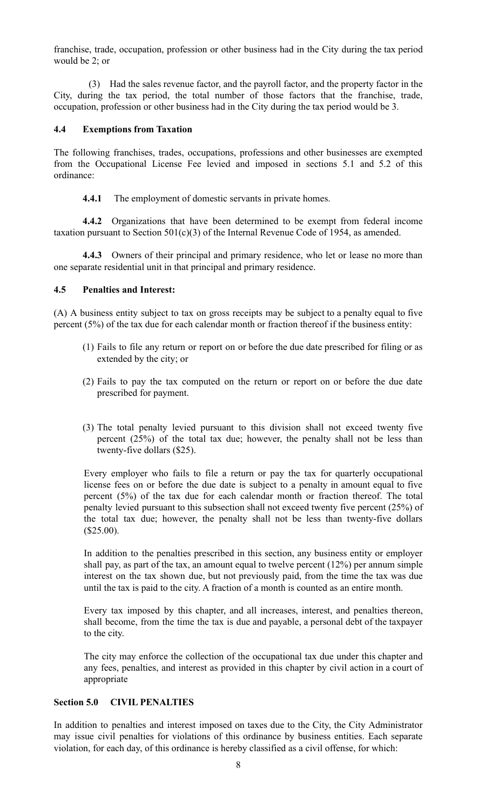franchise, trade, occupation, profession or other business had in the City during the tax period would be 2; or

(3) Had the sales revenue factor, and the payroll factor, and the property factor in the City, during the tax period, the total number of those factors that the franchise, trade, occupation, profession or other business had in the City during the tax period would be 3.

#### **4.4 Exemptions from Taxation**

The following franchises, trades, occupations, professions and other businesses are exempted from the Occupational License Fee levied and imposed in sections 5.1 and 5.2 of this ordinance:

**4.4.1** The employment of domestic servants in private homes.

**4.4.2** Organizations that have been determined to be exempt from federal income taxation pursuant to Section  $501(c)(3)$  of the Internal Revenue Code of 1954, as amended.

**4.4.3** Owners of their principal and primary residence, who let or lease no more than one separate residential unit in that principal and primary residence.

### **4.5 Penalties and Interest:**

(A) A business entity subject to tax on gross receipts may be subject to a penalty equal to five percent (5%) of the tax due for each calendar month or fraction thereof if the business entity:

- (1) Fails to file any return or report on or before the due date prescribed for filing or as extended by the city; or
- (2) Fails to pay the tax computed on the return or report on or before the due date prescribed for payment.
- (3) The total penalty levied pursuant to this division shall not exceed twenty five percent (25%) of the total tax due; however, the penalty shall not be less than twenty-five dollars (\$25).

Every employer who fails to file a return or pay the tax for quarterly occupational license fees on or before the due date is subject to a penalty in amount equal to five percent (5%) of the tax due for each calendar month or fraction thereof. The total penalty levied pursuant to this subsection shall not exceed twenty five percent (25%) of the total tax due; however, the penalty shall not be less than twenty-five dollars  $($25.00).$ 

In addition to the penalties prescribed in this section, any business entity or employer shall pay, as part of the tax, an amount equal to twelve percent (12%) per annum simple interest on the tax shown due, but not previously paid, from the time the tax was due until the tax is paid to the city. A fraction of a month is counted as an entire month.

Every tax imposed by this chapter, and all increases, interest, and penalties thereon, shall become, from the time the tax is due and payable, a personal debt of the taxpayer to the city.

The city may enforce the collection of the occupational tax due under this chapter and any fees, penalties, and interest as provided in this chapter by civil action in a court of appropriate

## **Section 5.0 CIVIL PENALTIES**

In addition to penalties and interest imposed on taxes due to the City, the City Administrator may issue civil penalties for violations of this ordinance by business entities. Each separate violation, for each day, of this ordinance is hereby classified as a civil offense, for which: